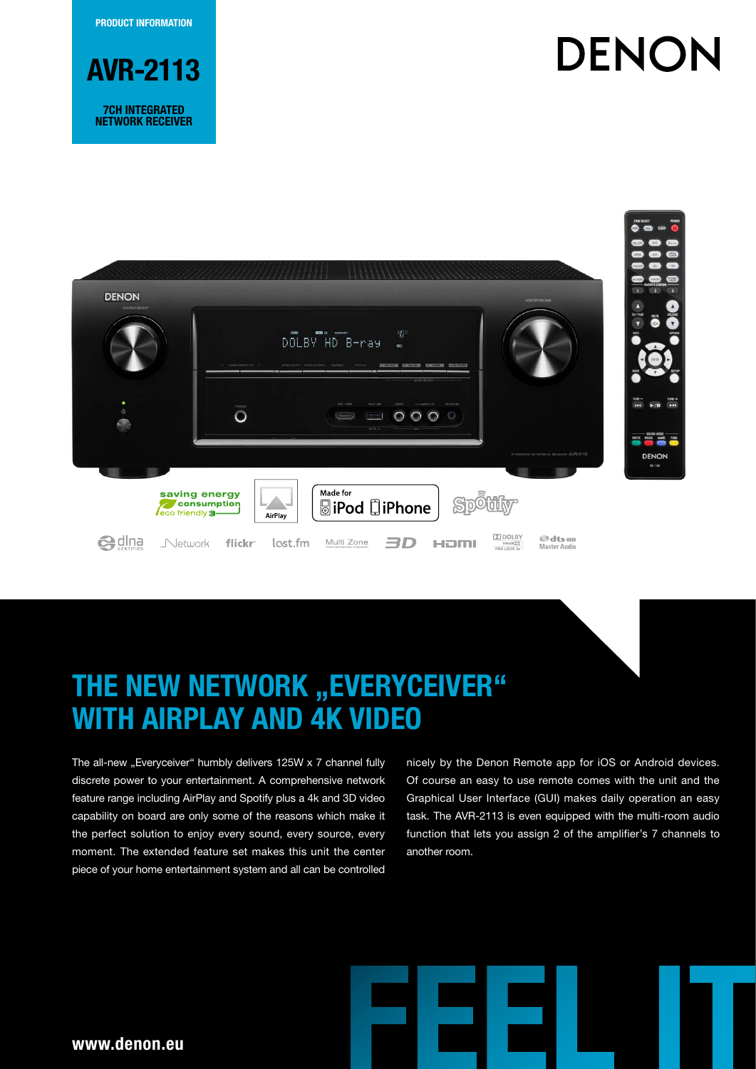**PRODUCT INFORMATION**









The all-new "Everyceiver" humbly delivers 125W x 7 channel fully discrete power to your entertainment. A comprehensive network feature range including AirPlay and Spotify plus a 4k and 3D video capability on board are only some of the reasons which make it the perfect solution to enjoy every sound, every source, every moment. The extended feature set makes this unit the center piece of your home entertainment system and all can be controlled nicely by the Denon Remote app for iOS or Android devices. Of course an easy to use remote comes with the unit and the Graphical User Interface (GUI) makes daily operation an easy task. The AVR-2113 is even equipped with the multi-room audio function that lets you assign 2 of the amplifier's 7 channels to another room.

**www.denon.eu**